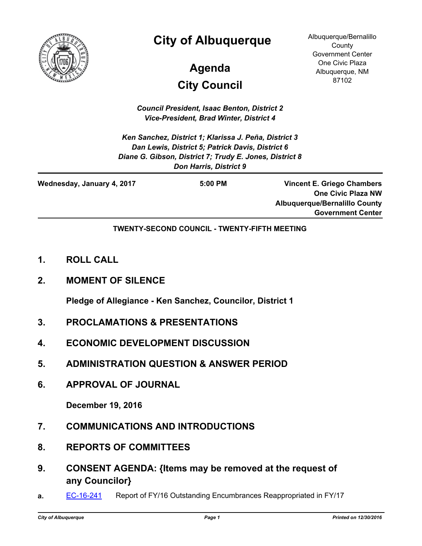

## **City of Albuquerque**

# **City Council Agenda**

Albuquerque/Bernalillo **County** Government Center One Civic Plaza Albuquerque, NM 87102

*Council President, Isaac Benton, District 2 Vice-President, Brad Winter, District 4*

*Ken Sanchez, District 1; Klarissa J. Peña, District 3 Dan Lewis, District 5; Patrick Davis, District 6 Diane G. Gibson, District 7; Trudy E. Jones, District 8 Don Harris, District 9*

| Wednesday, January 4, 2017 | $5:00$ PM | <b>Vincent E. Griego Chambers</b>    |
|----------------------------|-----------|--------------------------------------|
|                            |           | <b>One Civic Plaza NW</b>            |
|                            |           | <b>Albuquerque/Bernalillo County</b> |
|                            |           | <b>Government Center</b>             |

**TWENTY-SECOND COUNCIL - TWENTY-FIFTH MEETING**

- **1. ROLL CALL**
- **2. MOMENT OF SILENCE**

**Pledge of Allegiance - Ken Sanchez, Councilor, District 1**

- **3. PROCLAMATIONS & PRESENTATIONS**
- **4. ECONOMIC DEVELOPMENT DISCUSSION**
- **5. ADMINISTRATION QUESTION & ANSWER PERIOD**
- **6. APPROVAL OF JOURNAL**

**December 19, 2016**

- **7. COMMUNICATIONS AND INTRODUCTIONS**
- **8. REPORTS OF COMMITTEES**
- **9. CONSENT AGENDA: {Items may be removed at the request of any Councilor}**
- **a.** [EC-16-241](http://cabq.legistar.com/gateway.aspx?m=l&id=/matter.aspx?key=10418) Report of FY/16 Outstanding Encumbrances Reappropriated in FY/17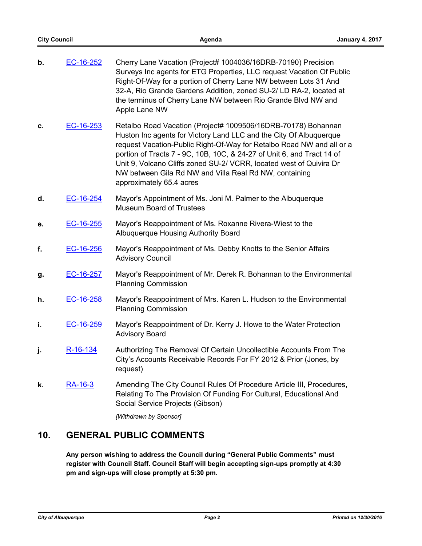| b. | EC-16-252 | Cherry Lane Vacation (Project# 1004036/16DRB-70190) Precision<br>Surveys Inc agents for ETG Properties, LLC request Vacation Of Public<br>Right-Of-Way for a portion of Cherry Lane NW between Lots 31 And<br>32-A, Rio Grande Gardens Addition, zoned SU-2/ LD RA-2, located at<br>the terminus of Cherry Lane NW between Rio Grande Blvd NW and<br>Apple Lane NW                                                                                  |
|----|-----------|-----------------------------------------------------------------------------------------------------------------------------------------------------------------------------------------------------------------------------------------------------------------------------------------------------------------------------------------------------------------------------------------------------------------------------------------------------|
| c. | EC-16-253 | Retalbo Road Vacation (Project# 1009506/16DRB-70178) Bohannan<br>Huston Inc agents for Victory Land LLC and the City Of Albuquerque<br>request Vacation-Public Right-Of-Way for Retalbo Road NW and all or a<br>portion of Tracts 7 - 9C, 10B, 10C, & 24-27 of Unit 6, and Tract 14 of<br>Unit 9, Volcano Cliffs zoned SU-2/ VCRR, located west of Quivira Dr<br>NW between Gila Rd NW and Villa Real Rd NW, containing<br>approximately 65.4 acres |
| d. | EC-16-254 | Mayor's Appointment of Ms. Joni M. Palmer to the Albuquerque<br><b>Museum Board of Trustees</b>                                                                                                                                                                                                                                                                                                                                                     |
| е. | EC-16-255 | Mayor's Reappointment of Ms. Roxanne Rivera-Wiest to the<br>Albuquerque Housing Authority Board                                                                                                                                                                                                                                                                                                                                                     |
| f. | EC-16-256 | Mayor's Reappointment of Ms. Debby Knotts to the Senior Affairs<br><b>Advisory Council</b>                                                                                                                                                                                                                                                                                                                                                          |
| g. | EC-16-257 | Mayor's Reappointment of Mr. Derek R. Bohannan to the Environmental<br><b>Planning Commission</b>                                                                                                                                                                                                                                                                                                                                                   |
| h. | EC-16-258 | Mayor's Reappointment of Mrs. Karen L. Hudson to the Environmental<br><b>Planning Commission</b>                                                                                                                                                                                                                                                                                                                                                    |
| j, | EC-16-259 | Mayor's Reappointment of Dr. Kerry J. Howe to the Water Protection<br><b>Advisory Board</b>                                                                                                                                                                                                                                                                                                                                                         |
| j. | R-16-134  | Authorizing The Removal Of Certain Uncollectible Accounts From The<br>City's Accounts Receivable Records For FY 2012 & Prior (Jones, by<br>request)                                                                                                                                                                                                                                                                                                 |
| k. | RA-16-3   | Amending The City Council Rules Of Procedure Article III, Procedures,<br>Relating To The Provision Of Funding For Cultural, Educational And<br>Social Service Projects (Gibson)<br>[Withdrawn by Sponsor]                                                                                                                                                                                                                                           |

## **10. GENERAL PUBLIC COMMENTS**

**Any person wishing to address the Council during "General Public Comments" must register with Council Staff. Council Staff will begin accepting sign-ups promptly at 4:30 pm and sign-ups will close promptly at 5:30 pm.**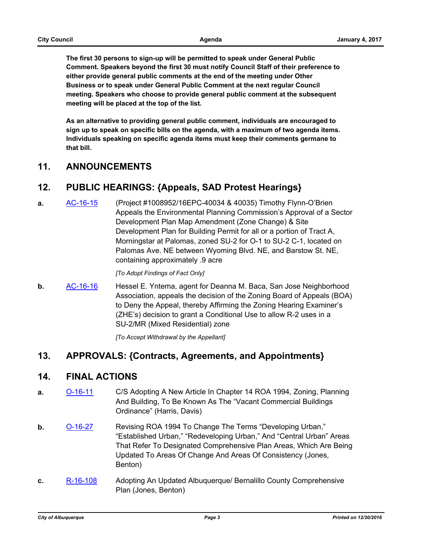**The first 30 persons to sign-up will be permitted to speak under General Public Comment. Speakers beyond the first 30 must notify Council Staff of their preference to either provide general public comments at the end of the meeting under Other Business or to speak under General Public Comment at the next regular Council meeting. Speakers who choose to provide general public comment at the subsequent meeting will be placed at the top of the list.**

**As an alternative to providing general public comment, individuals are encouraged to sign up to speak on specific bills on the agenda, with a maximum of two agenda items. Individuals speaking on specific agenda items must keep their comments germane to that bill.**

#### **11. ANNOUNCEMENTS**

#### **12. PUBLIC HEARINGS: {Appeals, SAD Protest Hearings}**

**a.** [AC-16-15](http://cabq.legistar.com/gateway.aspx?m=l&id=/matter.aspx?key=10344) (Project #1008952/16EPC-40034 & 40035) Timothy Flynn-O'Brien Appeals the Environmental Planning Commission's Approval of a Sector Development Plan Map Amendment (Zone Change) & Site Development Plan for Building Permit for all or a portion of Tract A, Morningstar at Palomas, zoned SU-2 for O-1 to SU-2 C-1, located on Palomas Ave. NE between Wyoming Blvd. NE, and Barstow St. NE, containing approximately .9 acre

#### *[To Adopt Findings of Fact Only]*

**b.** [AC-16-16](http://cabq.legistar.com/gateway.aspx?m=l&id=/matter.aspx?key=10397) Hessel E. Yntema, agent for Deanna M. Baca, San Jose Neighborhood Association, appeals the decision of the Zoning Board of Appeals (BOA) to Deny the Appeal, thereby Affirming the Zoning Hearing Examiner's (ZHE's) decision to grant a Conditional Use to allow R-2 uses in a SU-2/MR (Mixed Residential) zone

*[To Accept Withdrawal by the Appellant]*

### **13. APPROVALS: {Contracts, Agreements, and Appointments}**

#### **14. FINAL ACTIONS**

- **a.** [O-16-11](http://cabq.legistar.com/gateway.aspx?m=l&id=/matter.aspx?key=10070) C/S Adopting A New Article In Chapter 14 ROA 1994, Zoning, Planning And Building, To Be Known As The "Vacant Commercial Buildings Ordinance" (Harris, Davis)
- **b.** [O-16-27](http://cabq.legistar.com/gateway.aspx?m=l&id=/matter.aspx?key=10364) Revising ROA 1994 To Change The Terms "Developing Urban," "Established Urban," "Redeveloping Urban," And "Central Urban" Areas That Refer To Designated Comprehensive Plan Areas, Which Are Being Updated To Areas Of Change And Areas Of Consistency (Jones, Benton)
- **c.** [R-16-108](http://cabq.legistar.com/gateway.aspx?m=l&id=/matter.aspx?key=10365) Adopting An Updated Albuquerque/ Bernalillo County Comprehensive Plan (Jones, Benton)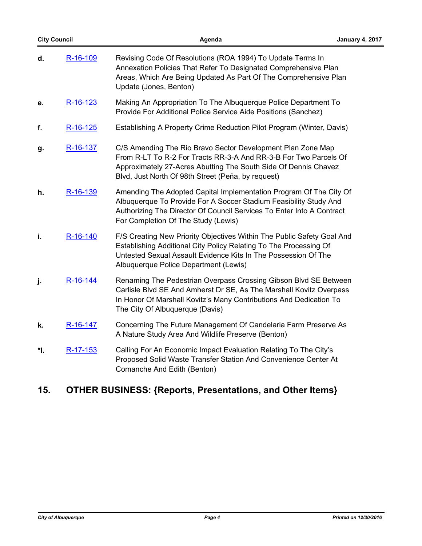| <b>City Council</b> |          | Agenda                                                                                                                                                                                                                                                   | <b>January 4, 2017</b> |
|---------------------|----------|----------------------------------------------------------------------------------------------------------------------------------------------------------------------------------------------------------------------------------------------------------|------------------------|
| d.                  | R-16-109 | Revising Code Of Resolutions (ROA 1994) To Update Terms In<br>Annexation Policies That Refer To Designated Comprehensive Plan<br>Areas, Which Are Being Updated As Part Of The Comprehensive Plan<br>Update (Jones, Benton)                              |                        |
| е.                  | R-16-123 | Making An Appropriation To The Albuquerque Police Department To<br>Provide For Additional Police Service Aide Positions (Sanchez)                                                                                                                        |                        |
| f.                  | R-16-125 | Establishing A Property Crime Reduction Pilot Program (Winter, Davis)                                                                                                                                                                                    |                        |
| g.                  | R-16-137 | C/S Amending The Rio Bravo Sector Development Plan Zone Map<br>From R-LT To R-2 For Tracts RR-3-A And RR-3-B For Two Parcels Of<br>Approximately 27-Acres Abutting The South Side Of Dennis Chavez<br>Blvd, Just North Of 98th Street (Peña, by request) |                        |
| h.                  | R-16-139 | Amending The Adopted Capital Implementation Program Of The City Of<br>Albuquerque To Provide For A Soccer Stadium Feasibility Study And<br>Authorizing The Director Of Council Services To Enter Into A Contract<br>For Completion Of The Study (Lewis)  |                        |
| i.                  | R-16-140 | F/S Creating New Priority Objectives Within The Public Safety Goal And<br>Establishing Additional City Policy Relating To The Processing Of<br>Untested Sexual Assault Evidence Kits In The Possession Of The<br>Albuquerque Police Department (Lewis)   |                        |
| j.                  | R-16-144 | Renaming The Pedestrian Overpass Crossing Gibson Blvd SE Between<br>Carlisle Blvd SE And Amherst Dr SE, As The Marshall Kovitz Overpass<br>In Honor Of Marshall Kovitz's Many Contributions And Dedication To<br>The City Of Albuquerque (Davis)         |                        |
| k.                  | R-16-147 | Concerning The Future Management Of Candelaria Farm Preserve As<br>A Nature Study Area And Wildlife Preserve (Benton)                                                                                                                                    |                        |
| *Ι.                 | R-17-153 | Calling For An Economic Impact Evaluation Relating To The City's<br>Proposed Solid Waste Transfer Station And Convenience Center At<br>Comanche And Edith (Benton)                                                                                       |                        |
|                     |          |                                                                                                                                                                                                                                                          |                        |

## **15. OTHER BUSINESS: {Reports, Presentations, and Other Items}**